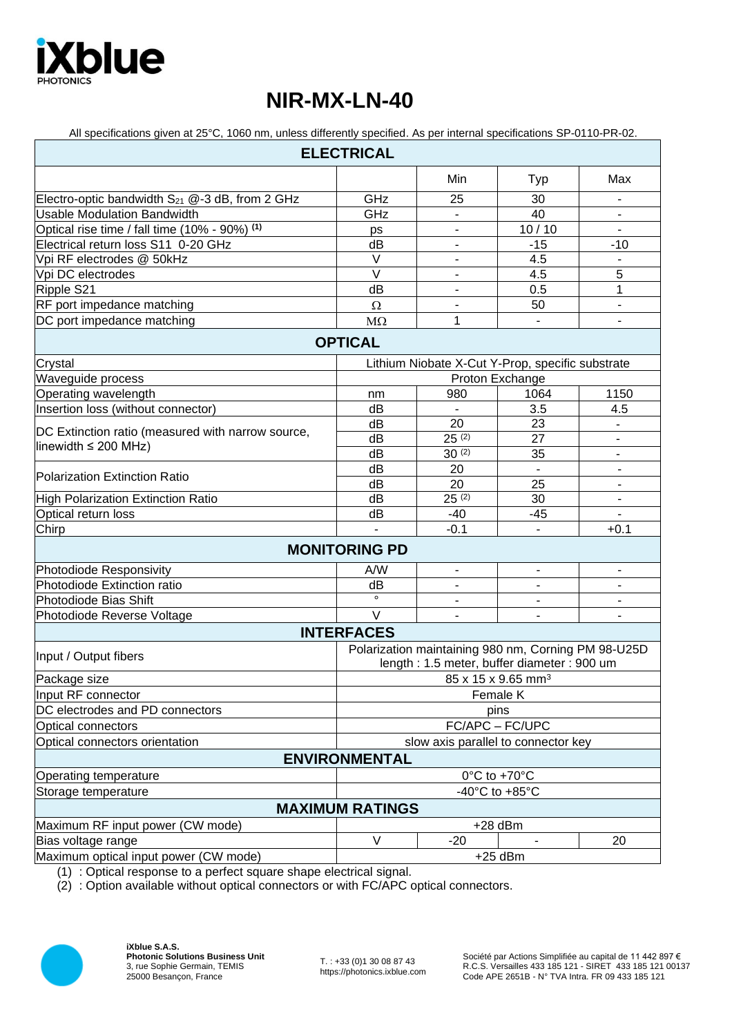

## **NIR-MX-LN-40**

| All specifications given at 25°C, 1060 nm, unless differently specified. As per internal specifications SP-0110-PR-02. |                                                                                                   |                              |                              |                          |
|------------------------------------------------------------------------------------------------------------------------|---------------------------------------------------------------------------------------------------|------------------------------|------------------------------|--------------------------|
|                                                                                                                        | <b>ELECTRICAL</b>                                                                                 |                              |                              |                          |
|                                                                                                                        |                                                                                                   | Min                          | Typ                          | Max                      |
| Electro-optic bandwidth $S_{21}$ @-3 dB, from 2 GHz                                                                    | GHz                                                                                               | 25                           | 30                           |                          |
| <b>Usable Modulation Bandwidth</b>                                                                                     | GHz                                                                                               |                              | 40                           |                          |
| Optical rise time / fall time (10% - 90%) (1)                                                                          | ps                                                                                                | $\overline{\phantom{a}}$     | 10/10                        |                          |
| Electrical return loss S11 0-20 GHz                                                                                    | dB                                                                                                | $\overline{\phantom{a}}$     | $-15$                        | $-10$                    |
| Vpi RF electrodes @ 50kHz                                                                                              | $\vee$                                                                                            | $\overline{\phantom{a}}$     | 4.5                          |                          |
| Vpi DC electrodes                                                                                                      | $\overline{\vee}$                                                                                 | $\overline{\phantom{0}}$     | 4.5                          | 5                        |
| Ripple S21                                                                                                             | dB                                                                                                | $\overline{\phantom{a}}$     | 0.5                          | 1                        |
| RF port impedance matching                                                                                             | Ω                                                                                                 | -                            | 50                           |                          |
| DC port impedance matching                                                                                             | $M\Omega$                                                                                         | 1                            | $\overline{\phantom{a}}$     | $\overline{\phantom{a}}$ |
|                                                                                                                        | <b>OPTICAL</b>                                                                                    |                              |                              |                          |
| Crystal                                                                                                                | Lithium Niobate X-Cut Y-Prop, specific substrate                                                  |                              |                              |                          |
| Waveguide process                                                                                                      | Proton Exchange                                                                                   |                              |                              |                          |
| Operating wavelength                                                                                                   | nm                                                                                                | 980                          | 1064                         | 1150                     |
| Insertion loss (without connector)                                                                                     | dB                                                                                                |                              | 3.5                          | 4.5                      |
| DC Extinction ratio (measured with narrow source,<br>linewidth $\leq$ 200 MHz)                                         | dB                                                                                                | 20                           | 23                           | $\blacksquare$           |
|                                                                                                                        | dB                                                                                                | $25^{(2)}$                   | 27                           | $\blacksquare$           |
|                                                                                                                        | dB                                                                                                | $30^{(2)}$                   | 35                           | $\blacksquare$           |
| <b>Polarization Extinction Ratio</b>                                                                                   | dB                                                                                                | 20                           | $\blacksquare$               | $\blacksquare$           |
|                                                                                                                        | dB                                                                                                | 20                           | 25                           | $\blacksquare$           |
| <b>High Polarization Extinction Ratio</b>                                                                              | dB                                                                                                | $25^{(2)}$                   | 30                           |                          |
| Optical return loss                                                                                                    | dB                                                                                                | $-40$                        | $-45$                        |                          |
| $\overline{\text{Chirp}}$                                                                                              | $\mathbf{r}$                                                                                      | $-0.1$                       | $\overline{\phantom{0}}$     | $+0.1$                   |
|                                                                                                                        | <b>MONITORING PD</b>                                                                              |                              |                              |                          |
| Photodiode Responsivity                                                                                                | A/W                                                                                               | $\blacksquare$               | $\overline{\phantom{a}}$     |                          |
| Photodiode Extinction ratio                                                                                            | dB                                                                                                |                              |                              |                          |
| Photodiode Bias Shift                                                                                                  | $\circ$                                                                                           | $\qquad \qquad \blacksquare$ | $\qquad \qquad \blacksquare$ |                          |
| Photodiode Reverse Voltage                                                                                             | $\vee$                                                                                            |                              | $\overline{\phantom{a}}$     |                          |
|                                                                                                                        | <b>INTERFACES</b>                                                                                 |                              |                              |                          |
| Input / Output fibers                                                                                                  | Polarization maintaining 980 nm, Corning PM 98-U25D<br>length: 1.5 meter, buffer diameter: 900 um |                              |                              |                          |
| Package size                                                                                                           | $85$ x 15 x 9.65 mm <sup>3</sup>                                                                  |                              |                              |                          |
| Input RF connector                                                                                                     | Female K                                                                                          |                              |                              |                          |
| DC electrodes and PD connectors                                                                                        | pins                                                                                              |                              |                              |                          |
| Optical connectors                                                                                                     | FC/APC - FC/UPC                                                                                   |                              |                              |                          |
| Optical connectors orientation                                                                                         | slow axis parallel to connector key                                                               |                              |                              |                          |
|                                                                                                                        | <b>ENVIRONMENTAL</b>                                                                              |                              |                              |                          |
| Operating temperature                                                                                                  | 0°C to +70°C                                                                                      |                              |                              |                          |
| Storage temperature                                                                                                    | -40 $^{\circ}$ C to +85 $^{\circ}$ C                                                              |                              |                              |                          |
| <b>MAXIMUM RATINGS</b>                                                                                                 |                                                                                                   |                              |                              |                          |
| Maximum RF input power (CW mode)                                                                                       | $+28$ dBm                                                                                         |                              |                              |                          |
| Bias voltage range                                                                                                     | V                                                                                                 | $-20$                        |                              | 20                       |
| Maximum optical input power (CW mode)                                                                                  |                                                                                                   |                              | $+25$ dBm                    |                          |
|                                                                                                                        |                                                                                                   |                              |                              |                          |

(1) : Optical response to a perfect square shape electrical signal.

(2) : Option available without optical connectors or with FC/APC optical connectors.